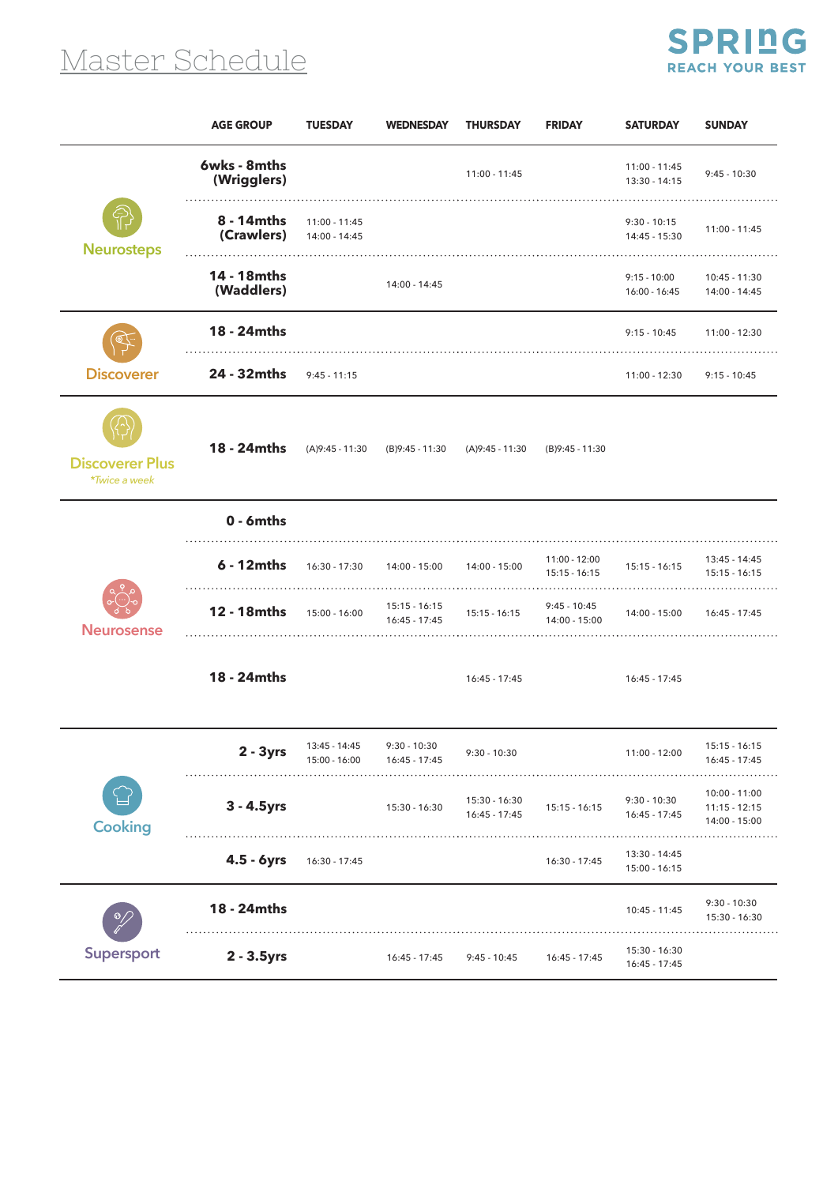## Master Schedule



|                                         | <b>AGE GROUP</b>            | <b>TUESDAY</b>                 | <b>WEDNESDAY</b>                   | <b>THURSDAY</b>                | <b>FRIDAY</b>                    | <b>SATURDAY</b>                 | <b>SUNDAY</b>                                       |
|-----------------------------------------|-----------------------------|--------------------------------|------------------------------------|--------------------------------|----------------------------------|---------------------------------|-----------------------------------------------------|
|                                         | 6wks - 8mths<br>(Wrigglers) |                                |                                    | 11:00 - 11:45                  |                                  | 11:00 - 11:45<br>13:30 - 14:15  | $9:45 - 10:30$                                      |
| <b>Neurosteps</b>                       | 8 - 14mths<br>(Crawlers)    | 11:00 - 11:45<br>14:00 - 14:45 |                                    |                                |                                  | $9:30 - 10:15$<br>14:45 - 15:30 | 11:00 - 11:45                                       |
|                                         | 14 - 18mths<br>(Waddlers)   |                                | 14:00 - 14:45                      |                                |                                  | $9:15 - 10:00$<br>16:00 - 16:45 | 10:45 - 11:30<br>14:00 - 14:45                      |
| <b>Discoverer</b>                       | 18 - 24mths                 |                                |                                    |                                |                                  | $9:15 - 10:45$                  | 11:00 - 12:30                                       |
|                                         | 24 - 32mths                 | $9:45 - 11:15$                 |                                    |                                |                                  | 11:00 - 12:30                   | $9:15 - 10:45$                                      |
| <b>Discoverer Plus</b><br>*Twice a week | 18 - 24mths                 | (A)9:45 - 11:30                | (B)9:45 - 11:30                    | $(A)9:45 - 11:30$              | (B)9:45 - 11:30                  |                                 |                                                     |
| <b>Neurosense</b>                       | $0 - 6$ mths                |                                |                                    |                                |                                  |                                 |                                                     |
|                                         | 6 - 12mths                  | 16:30 - 17:30                  | 14:00 - 15:00                      | 14:00 - 15:00                  | 11:00 - 12:00<br>$15:15 - 16:15$ | 15:15 - 16:15                   | 13:45 - 14:45<br>$15:15 - 16:15$                    |
|                                         | 12 - 18mths                 | $15:00 - 16:00$                | $15:15 - 16:15$<br>$16:45 - 17:45$ | $15:15 - 16:15$                | $9:45 - 10:45$<br>14:00 - 15:00  | 14:00 - 15:00                   | 16:45 - 17:45                                       |
|                                         | 18 - 24mths                 |                                |                                    | 16:45 - 17:45                  |                                  | 16:45 - 17:45                   |                                                     |
| <b>Cooking</b>                          | $2 - 3yrs$                  | 13:45 - 14:45<br>15:00 - 16:00 | $9:30 - 10:30$<br>16:45 - 17:45    | $9:30 - 10:30$                 |                                  | 11:00 - 12:00                   | $15:15 - 16:15$<br>16:45 - 17:45                    |
|                                         | 3 - 4.5yrs                  |                                | 15:30 - 16:30                      | 15:30 - 16:30<br>16:45 - 17:45 | $15:15 - 16:15$                  | $9:30 - 10:30$<br>16:45 - 17:45 | $10:00 - 11:00$<br>$11:15 - 12:15$<br>14:00 - 15:00 |
|                                         | 4.5 - 6yrs                  | $16:30 - 17:45$                |                                    |                                | 16:30 - 17:45                    | 13:30 - 14:45<br>15:00 - 16:15  | .                                                   |
| Supersport                              | 18 - 24mths                 |                                |                                    |                                |                                  | 10:45 - 11:45                   | $9:30 - 10:30$<br>15:30 - 16:30                     |
|                                         | 2 - 3.5yrs                  |                                | 16:45 - 17:45                      | 9:45 - 10:45                   | 16:45 - 17:45                    | 15:30 - 16:30<br>16:45 - 17:45  |                                                     |